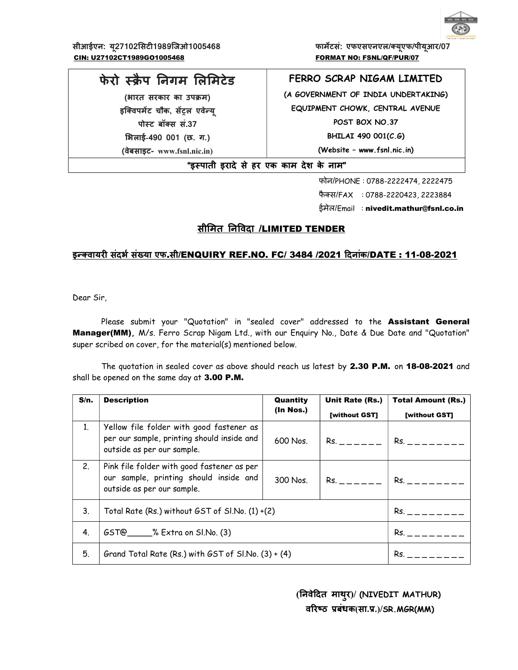

सीआईएन: यू27102सिटी1989जिओ1005468 फिल्म कार्मेटसं: एफएसएनएल/क्यूएफ/पीयूआर/07 CIN: U27102CT1989GO1005468 FORMAT NO: FSNL/QF/PUR/07

# फेरो स्क्रैप निगम लिमिटेड

(भारत सरकार का उपक्रम) इक्विपमेंट चौक, सेंट्रल एवेन्यू पोस्ट बॉक्स सं.37 ͧभलाई-490 001 (छ. ग.)

(वेबसाइट- www.fsnl.nic.in)

# FERRO SCRAP NIGAM LIMITED

(A GOVERNMENT OF INDIA UNDERTAKING) EQUIPMENT CHOWK, CENTRAL AVENUE POST BOX NO.37 BHILAI 490 001(C.G) (Website – www.fsnl.nic.in)

"इèपाती इरादे से हर एक काम देश के नाम"

फोन/PHONE : 0788-2222474, 2222475 फैक्स/FAX : 0788-2220423, 2223884 ईमेल/Email : nivedit.mathur@fsnl.co.in

# सीमित निविदा /LIMITED TENDER

## इन्क्वायरी संदर्भ संख्या एफ.सी/ENQUIRY REF.NO. FC/ 3484 /2021 दिनांक/DATE : 11-08-2021

Dear Sir,

Please submit your "Quotation" in "sealed cover" addressed to the Assistant General Manager(MM), M/s. Ferro Scrap Nigam Ltd., with our Enquiry No., Date & Due Date and "Quotation" super scribed on cover, for the material(s) mentioned below.

The quotation in sealed cover as above should reach us latest by 2.30 P.M. on 18-08-2021 and shall be opened on the same day at 3.00 P.M.

| S/n.           | <b>Description</b>                                                                                                   | Unit Rate (Rs.)<br>Quantity |                                                                                                                                                                                                                                | <b>Total Amount (Rs.)</b> |
|----------------|----------------------------------------------------------------------------------------------------------------------|-----------------------------|--------------------------------------------------------------------------------------------------------------------------------------------------------------------------------------------------------------------------------|---------------------------|
|                |                                                                                                                      | (In Nos.)                   | [without GST]                                                                                                                                                                                                                  | [without GST]             |
| 1 <sup>1</sup> | Yellow file folder with good fastener as<br>per our sample, printing should inside and<br>outside as per our sample. | 600 Nos.                    | Rs. In the set of the set of the set of the set of the set of the set of the set of the set of the set of the set of the set of the set of the set of the set of the set of the set of the set of the set of the set of the se | $Rs. = - - - - - -$       |
| 2 <sub>1</sub> | Pink file folder with good fastener as per<br>our sample, printing should inside and<br>outside as per our sample.   | 300 Nos.                    | $Rs. = - - - -$                                                                                                                                                                                                                | $Rs. = - - - -$           |
| 3.             | Total Rate (Rs.) without GST of Sl.No. (1) +(2)                                                                      |                             |                                                                                                                                                                                                                                | $Rs. = - - - -$           |
| 4.             | GST@ _____% Extra on SI.No. (3)                                                                                      |                             |                                                                                                                                                                                                                                | $Rs. = - - - - -$         |
| 5.             | Grand Total Rate (Rs.) with $GST$ of $Sl$ . No. $(3) + (4)$                                                          |                             |                                                                                                                                                                                                                                | $Rs. = - - -$             |

 (ǓनवेǑदत माथुर)/ (NIVEDIT MATHUR) वरिष्ठ प्रबंधक(सा.प्र.)/SR.MGR(MM)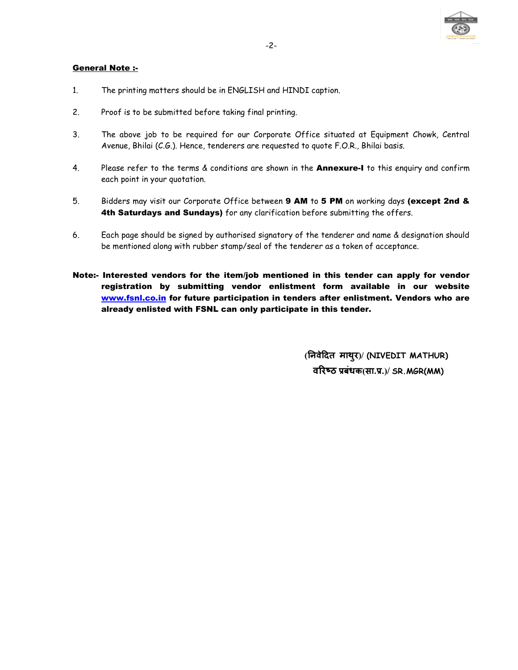

## General Note :-

- 1. The printing matters should be in ENGLISH and HINDI caption.
- 2. Proof is to be submitted before taking final printing.
- 3. The above job to be required for our Corporate Office situated at Equipment Chowk, Central Avenue, Bhilai (C.G.). Hence, tenderers are requested to quote F.O.R., Bhilai basis.
- 4. Please refer to the terms & conditions are shown in the **Annexure-I** to this enquiry and confirm each point in your quotation.
- 5. Bidders may visit our Corporate Office between 9 AM to 5 PM on working days (except 2nd & 4th Saturdays and Sundays) for any clarification before submitting the offers.
- 6. Each page should be signed by authorised signatory of the tenderer and name & designation should be mentioned along with rubber stamp/seal of the tenderer as a token of acceptance.
- Note:- Interested vendors for the item/job mentioned in this tender can apply for vendor registration by submitting vendor enlistment form available in our website www.fsnl.co.in for future participation in tenders after enlistment. Vendors who are already enlisted with FSNL can only participate in this tender.

 (ǓनवेǑदत माथुर)/ (NIVEDIT MATHUR) वरिष्ठ प्रबंधक(सा.प्र.)/ SR.MGR(MM)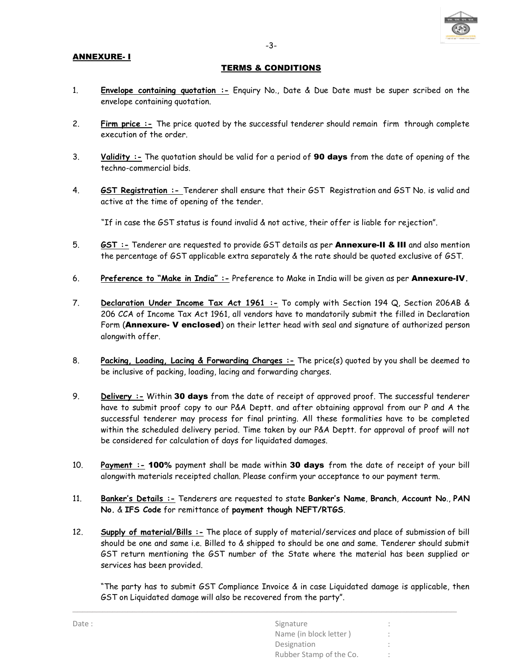#### ANNEXURE- I

#### TERMS & CONDITIONS

- 1. Envelope containing quotation :- Enquiry No., Date & Due Date must be super scribed on the envelope containing quotation.
- 2. Firm price :- The price quoted by the successful tenderer should remain firm through complete execution of the order.
- 3. Validity :- The quotation should be valid for a period of **90 days** from the date of opening of the techno-commercial bids.
- 4. **GST Registration** :- Tenderer shall ensure that their GST Registration and GST No. is valid and active at the time of opening of the tender.

"If in case the GST status is found invalid & not active, their offer is liable for rejection".

- 5. **GST :** Tenderer are requested to provide GST details as per **Annexure-II & III** and also mention the percentage of GST applicable extra separately & the rate should be quoted exclusive of GST.
- 6. Preference to "Make in India" :- Preference to Make in India will be given as per Annexure-IV.
- 7. Declaration Under Income Tax Act 1961 :- To comply with Section 194 Q, Section 206AB & 206 CCA of Income Tax Act 1961, all vendors have to mandatorily submit the filled in Declaration Form (Annexure- V enclosed) on their letter head with seal and signature of authorized person alongwith offer.
- 8. Packing, Loading, Lacing & Forwarding Charges :- The price(s) quoted by you shall be deemed to be inclusive of packing, loading, lacing and forwarding charges.
- 9. Delivery :- Within 30 days from the date of receipt of approved proof. The successful tenderer have to submit proof copy to our P&A Deptt. and after obtaining approval from our P and A the successful tenderer may process for final printing. All these formalities have to be completed within the scheduled delivery period. Time taken by our P&A Deptt. for approval of proof will not be considered for calculation of days for liquidated damages.
- 10. Payment :- 100% payment shall be made within 30 days from the date of receipt of your bill alongwith materials receipted challan. Please confirm your acceptance to our payment term.
- 11. Banker's Details :- Tenderers are requested to state Banker's Name, Branch, Account No., PAN No. & IFS Code for remittance of payment though NEFT/RTGS.
- 12. Supply of material/Bills :- The place of supply of material/services and place of submission of bill should be one and same i.e. Billed to & shipped to should be one and same. Tenderer should submit GST return mentioning the GST number of the State where the material has been supplied or services has been provided.

\_\_\_\_\_\_\_\_\_\_\_\_\_\_\_\_\_\_\_\_\_\_\_\_\_\_\_\_\_\_\_\_\_\_\_\_\_\_\_\_\_\_\_\_\_\_\_\_\_\_\_\_\_\_\_\_\_\_\_\_\_\_\_\_\_\_\_\_\_\_\_\_\_\_\_\_\_

"The party has to submit GST Compliance Invoice & in case Liquidated damage is applicable, then GST on Liquidated damage will also be recovered from the party".

| Date: | Signature               |        |
|-------|-------------------------|--------|
|       | Name (in block letter)  |        |
|       | Designation             |        |
|       | Rubber Stamp of the Co. | $\sim$ |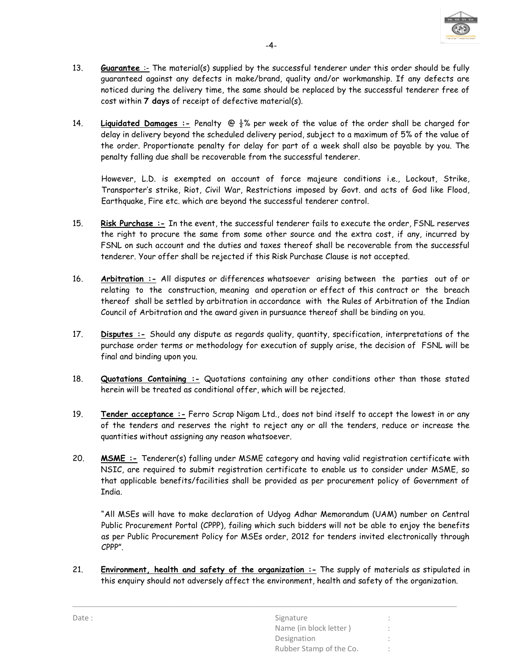

- 13. Guarantee :- The material(s) supplied by the successful tenderer under this order should be fully guaranteed against any defects in make/brand, quality and/or workmanship. If any defects are noticed during the delivery time, the same should be replaced by the successful tenderer free of cost within 7 days of receipt of defective material(s).
- 14. Liquidated Damages :- Penalty  $\bigcirc \frac{1}{2}$ % per week of the value of the order shall be charged for delay in delivery beyond the scheduled delivery period, subject to a maximum of 5% of the value of the order. Proportionate penalty for delay for part of a week shall also be payable by you. The penalty falling due shall be recoverable from the successful tenderer.

However, L.D. is exempted on account of force majeure conditions i.e., Lockout, Strike, Transporter's strike, Riot, Civil War, Restrictions imposed by Govt. and acts of God like Flood, Earthquake, Fire etc. which are beyond the successful tenderer control.

- 15. Risk Purchase :- In the event, the successful tenderer fails to execute the order, FSNL reserves the right to procure the same from some other source and the extra cost, if any, incurred by FSNL on such account and the duties and taxes thereof shall be recoverable from the successful tenderer. Your offer shall be rejected if this Risk Purchase Clause is not accepted.
- 16. Arbitration :- All disputes or differences whatsoever arising between the parties out of or relating to the construction, meaning and operation or effect of this contract or the breach thereof shall be settled by arbitration in accordance with the Rules of Arbitration of the Indian Council of Arbitration and the award given in pursuance thereof shall be binding on you.
- 17. Disputes :- Should any dispute as regards quality, quantity, specification, interpretations of the purchase order terms or methodology for execution of supply arise, the decision of FSNL will be final and binding upon you.
- 18. Quotations Containing :- Quotations containing any other conditions other than those stated herein will be treated as conditional offer, which will be rejected.
- 19. Tender acceptance :- Ferro Scrap Nigam Ltd., does not bind itself to accept the lowest in or any of the tenders and reserves the right to reject any or all the tenders, reduce or increase the quantities without assigning any reason whatsoever.
- 20. MSME :- Tenderer(s) falling under MSME category and having valid registration certificate with NSIC, are required to submit registration certificate to enable us to consider under MSME, so that applicable benefits/facilities shall be provided as per procurement policy of Government of India.

 "All MSEs will have to make declaration of Udyog Adhar Memorandum (UAM) number on Central Public Procurement Portal (CPPP), failing which such bidders will not be able to enjoy the benefits as per Public Procurement Policy for MSEs order, 2012 for tenders invited electronically through CPPP".

21. Environment, health and safety of the organization :- The supply of materials as stipulated in this enquiry should not adversely affect the environment, health and safety of the organization.

| Date: | Signature               | $\mathbf{a}$ |
|-------|-------------------------|--------------|
|       | Name (in block letter)  |              |
|       | Designation             |              |
|       | Rubber Stamp of the Co. |              |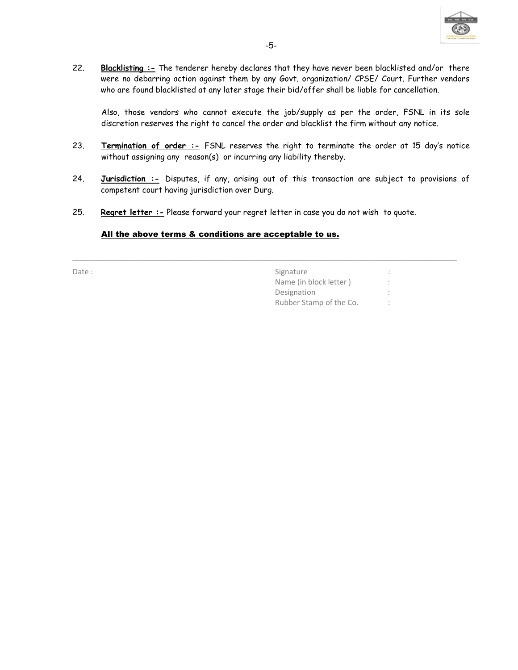

22. Blacklisting :- The tenderer hereby declares that they have never been blacklisted and/or there were no debarring action against them by any Govt. organization/ CPSE/ Court. Further vendors who are found blacklisted at any later stage their bid/offer shall be liable for cancellation.

Also, those vendors who cannot execute the job/supply as per the order, FSNL in its sole discretion reserves the right to cancel the order and blacklist the firm without any notice.

- 23. Termination of order :- FSNL reserves the right to terminate the order at 15 day's notice without assigning any reason(s) or incurring any liability thereby.
- 24. Jurisdiction :- Disputes, if any, arising out of this transaction are subject to provisions of competent court having jurisdiction over Durg.

\_\_\_\_\_\_\_\_\_\_\_\_\_\_\_\_\_\_\_\_\_\_\_\_\_\_\_\_\_\_\_\_\_\_\_\_\_\_\_\_\_\_\_\_\_\_\_\_\_\_\_\_\_\_\_\_\_\_\_\_\_\_\_\_\_\_\_\_\_\_\_\_\_\_\_\_\_

25. Regret letter : - Please forward your regret letter in case you do not wish to quote.

#### All the above terms & conditions are acceptable to us.

Date : Signature : Signature : Signature : Signature : Signature : Signature : Signature : Signature : Signature : Signature : Signature : Signature : Signature : Signature : Signature : Signature : Signature : Signature : Name (in block letter ) : Designation Rubber Stamp of the Co. :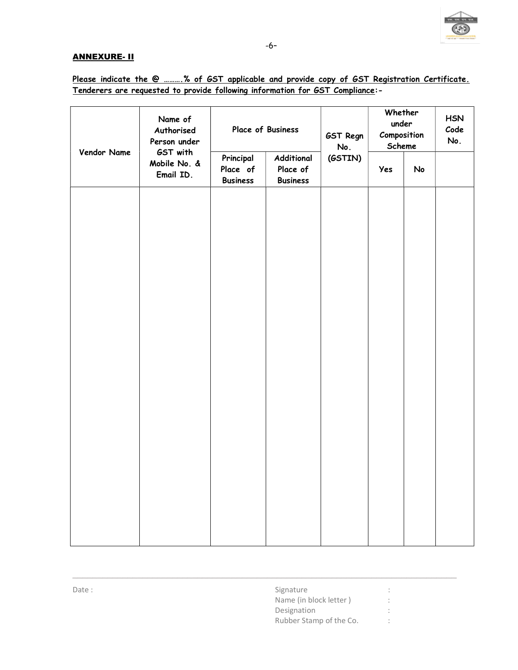

## ANNEXURE- II

|             | Name of<br>Authorised<br>Person under |                                          | Place of Business<br>GST Regn<br>No.      |         | Whether<br>under<br>Composition<br>Scheme |    | <b>HSN</b><br>Code<br>No. |
|-------------|---------------------------------------|------------------------------------------|-------------------------------------------|---------|-------------------------------------------|----|---------------------------|
| Vendor Name | GST with<br>Mobile No. &<br>Email ID. | Principal<br>Place of<br><b>Business</b> | Additional<br>Place of<br><b>Business</b> | (GSTIN) | Yes                                       | No |                           |
|             |                                       |                                          |                                           |         |                                           |    |                           |
|             |                                       |                                          |                                           |         |                                           |    |                           |
|             |                                       |                                          |                                           |         |                                           |    |                           |
|             |                                       |                                          |                                           |         |                                           |    |                           |
|             |                                       |                                          |                                           |         |                                           |    |                           |
|             |                                       |                                          |                                           |         |                                           |    |                           |
|             |                                       |                                          |                                           |         |                                           |    |                           |
|             |                                       |                                          |                                           |         |                                           |    |                           |
|             |                                       |                                          |                                           |         |                                           |    |                           |
|             |                                       |                                          |                                           |         |                                           |    |                           |

\_\_\_\_\_\_\_\_\_\_\_\_\_\_\_\_\_\_\_\_\_\_\_\_\_\_\_\_\_\_\_\_\_\_\_\_\_\_\_\_\_\_\_\_\_\_\_\_\_\_\_\_\_\_\_\_\_\_\_\_\_\_\_\_\_\_\_\_\_\_\_\_\_\_\_\_\_

# Please indicate the @ .......... % of GST applicable and provide copy of GST Registration Certificate. Tenderers are requested to provide following information for GST Compliance:-

| Date: | Signature               |  |
|-------|-------------------------|--|
|       | Name (in block letter)  |  |
|       | Designation             |  |
|       | Rubber Stamp of the Co. |  |
|       |                         |  |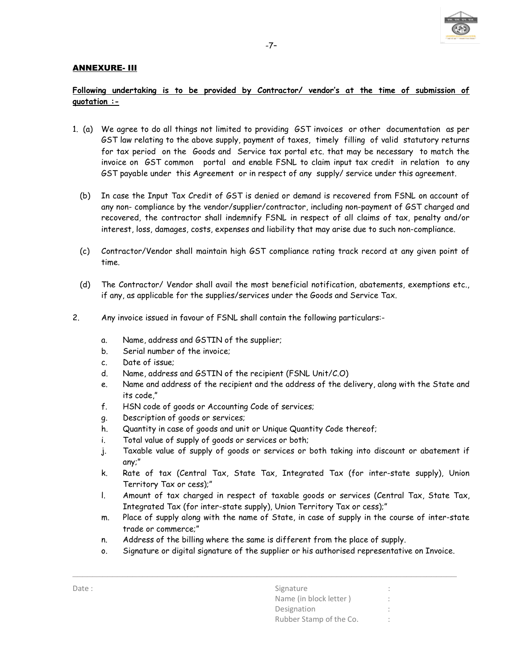

## ANNEXURE- III

## Following undertaking is to be provided by Contractor/ vendor's at the time of submission of quotation :-

- 1. (a) We agree to do all things not limited to providing GST invoices or other documentation as per GST law relating to the above supply, payment of taxes, timely filling of valid statutory returns for tax period on the Goods and Service tax portal etc. that may be necessary to match the invoice on GST common portal and enable FSNL to claim input tax credit in relation to any GST payable under this Agreement or in respect of any supply/ service under this agreement.
	- (b) In case the Input Tax Credit of GST is denied or demand is recovered from FSNL on account of any non- compliance by the vendor/supplier/contractor, including non-payment of GST charged and recovered, the contractor shall indemnify FSNL in respect of all claims of tax, penalty and/or interest, loss, damages, costs, expenses and liability that may arise due to such non-compliance.
	- (c) Contractor/Vendor shall maintain high GST compliance rating track record at any given point of time.
	- (d) The Contractor/ Vendor shall avail the most beneficial notification, abatements, exemptions etc., if any, as applicable for the supplies/services under the Goods and Service Tax.
- 2. Any invoice issued in favour of FSNL shall contain the following particulars:
	- a. Name, address and GSTIN of the supplier;
	- b. Serial number of the invoice;
	- c. Date of issue;
	- d. Name, address and GSTIN of the recipient (FSNL Unit/C.O)
	- e. Name and address of the recipient and the address of the delivery, along with the State and its code,"
	- f. HSN code of goods or Accounting Code of services;
	- g. Description of goods or services;
	- h. Quantity in case of goods and unit or Unique Quantity Code thereof;
	- i. Total value of supply of goods or services or both;
	- j. Taxable value of supply of goods or services or both taking into discount or abatement if any;"
	- k. Rate of tax (Central Tax, State Tax, Integrated Tax (for inter-state supply), Union Territory Tax or cess);"
	- l. Amount of tax charged in respect of taxable goods or services (Central Tax, State Tax, Integrated Tax (for inter-state supply), Union Territory Tax or cess);"
	- m. Place of supply along with the name of State, in case of supply in the course of inter-state trade or commerce;"
	- n. Address of the billing where the same is different from the place of supply.
	- o. Signature or digital signature of the supplier or his authorised representative on Invoice.

| Date: | Signature               |  |
|-------|-------------------------|--|
|       | Name (in block letter)  |  |
|       | Designation             |  |
|       | Rubber Stamp of the Co. |  |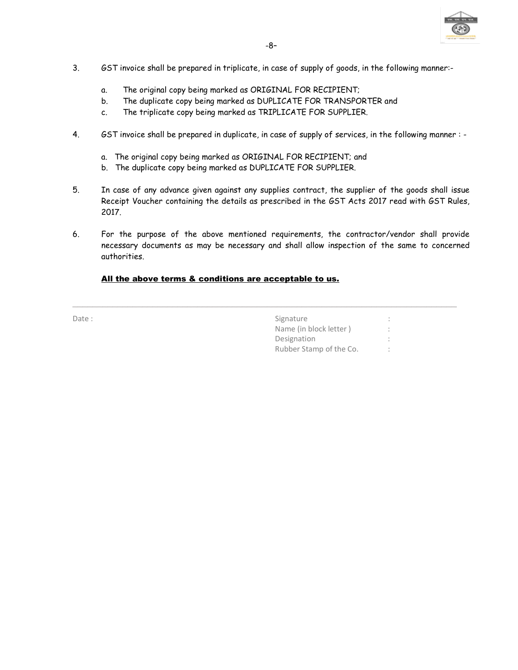

- 3. GST invoice shall be prepared in triplicate, in case of supply of goods, in the following manner:
	- a. The original copy being marked as ORIGINAL FOR RECIPIENT;
	- b. The duplicate copy being marked as DUPLICATE FOR TRANSPORTER and
	- c. The triplicate copy being marked as TRIPLICATE FOR SUPPLIER.
- 4. GST invoice shall be prepared in duplicate, in case of supply of services, in the following manner :
	- a. The original copy being marked as ORIGINAL FOR RECIPIENT; and
	- b. The duplicate copy being marked as DUPLICATE FOR SUPPLIER.
- 5. In case of any advance given against any supplies contract, the supplier of the goods shall issue Receipt Voucher containing the details as prescribed in the GST Acts 2017 read with GST Rules, 2017.
- 6. For the purpose of the above mentioned requirements, the contractor/vendor shall provide necessary documents as may be necessary and shall allow inspection of the same to concerned authorities.

\_\_\_\_\_\_\_\_\_\_\_\_\_\_\_\_\_\_\_\_\_\_\_\_\_\_\_\_\_\_\_\_\_\_\_\_\_\_\_\_\_\_\_\_\_\_\_\_\_\_\_\_\_\_\_\_\_\_\_\_\_\_\_\_\_\_\_\_\_\_\_\_\_\_\_\_\_

## All the above terms & conditions are acceptable to us.

| Signature               |  |
|-------------------------|--|
| Name (in block letter)  |  |
| Designation             |  |
| Rubber Stamp of the Co. |  |
|                         |  |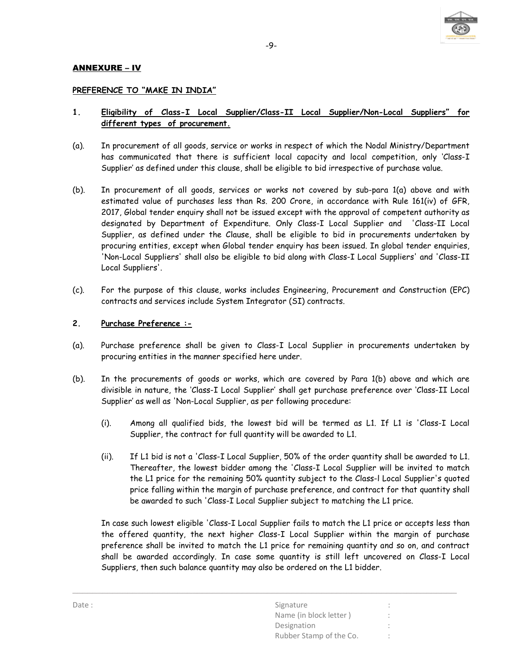

## ANNEXURE – IV

### PREFERENCE TO "MAKE IN INDIA"

## 1. Eligibility of Class-I Local Supplier/Class-II Local Supplier/Non-Local Suppliers" for different types of procurement.

- (a). In procurement of all goods, service or works in respect of which the Nodal Ministry/Department has communicated that there is sufficient local capacity and local competition, only 'Class-I Supplier' as defined under this clause, shall be eligible to bid irrespective of purchase value.
- (b). In procurement of all goods, services or works not covered by sub-para 1(a) above and with estimated value of purchases less than Rs. 200 Crore, in accordance with Rule 161(iv) of GFR, 2017, Global tender enquiry shall not be issued except with the approval of competent authority as designated by Department of Expenditure. Only Class-I Local Supplier and 'Class-II Local Supplier, as defined under the Clause, shall be eligible to bid in procurements undertaken by procuring entities, except when Global tender enquiry has been issued. In global tender enquiries, 'Non-Local Suppliers' shall also be eligible to bid along with Class-I Local Suppliers' and 'Class-II Local Suppliers'.
- (c). For the purpose of this clause, works includes Engineering, Procurement and Construction (EPC) contracts and services include System Integrator (SI) contracts.

#### 2. Purchase Preference :-

- (a). Purchase preference shall be given to Class-I Local Supplier in procurements undertaken by procuring entities in the manner specified here under.
- (b). In the procurements of goods or works, which are covered by Para 1(b) above and which are divisible in nature, the 'Class-I Local Supplier' shall get purchase preference over 'Class-II Local Supplier' as well as 'Non-Local Supplier, as per following procedure:
	- (i). Among all qualified bids, the lowest bid will be termed as L1. If L1 is 'Class-I Local Supplier, the contract for full quantity will be awarded to L1.
	- (ii). If L1 bid is not a 'Class-I Local Supplier, 50% of the order quantity shall be awarded to L1. Thereafter, the lowest bidder among the 'Class-I Local Supplier will be invited to match the L1 price for the remaining 50% quantity subject to the Class-l Local Supplier's quoted price falling within the margin of purchase preference, and contract for that quantity shall be awarded to such 'Class-I Local Supplier subject to matching the L1 price.

In case such lowest eligible 'Class-I Local Supplier fails to match the L1 price or accepts less than the offered quantity, the next higher Class-I Local Supplier within the margin of purchase preference shall be invited to match the L1 price for remaining quantity and so on, and contract shall be awarded accordingly. In case some quantity is still left uncovered on Class-I Local Suppliers, then such balance quantity may also be ordered on the L1 bidder.

| Date: | Signature               | $\bullet$<br>$\sim$ |
|-------|-------------------------|---------------------|
|       | Name (in block letter)  |                     |
|       | Designation             |                     |
|       | Rubber Stamp of the Co. |                     |
|       |                         |                     |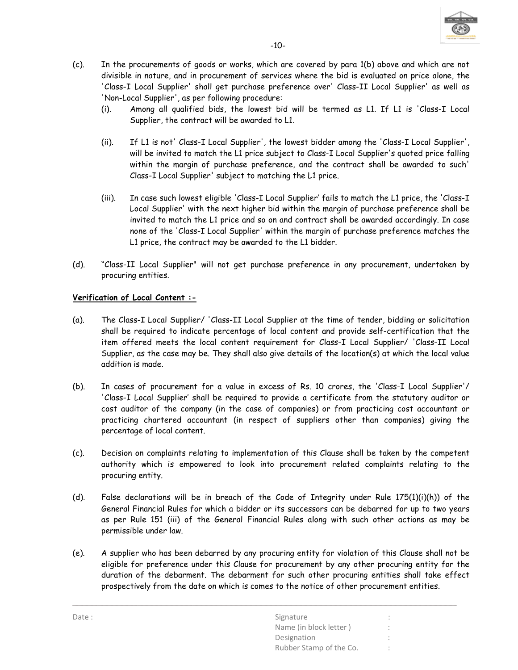

- (c). In the procurements of goods or works, which are covered by para 1(b) above and which are not divisible in nature, and in procurement of services where the bid is evaluated on price alone, the 'Class-I Local Supplier' shall get purchase preference over' Class-II Local Supplier' as well as 'Non-Local Supplier', as per following procedure:
	- (i). Among all qualified bids, the lowest bid will be termed as L1. If L1 is 'Class-I Local Supplier, the contract will be awarded to L1.
	- (ii). If L1 is not' Class-I Local Supplier', the lowest bidder among the 'Class-I Local Supplier', will be invited to match the L1 price subject to Class-I Local Supplier's quoted price falling within the margin of purchase preference, and the contract shall be awarded to such' Class-I Local Supplier' subject to matching the L1 price.
	- (iii). In case such lowest eligible 'Class-I Local Supplier' fails to match the L1 price, the 'Class-I Local Supplier' with the next higher bid within the margin of purchase preference shall be invited to match the L1 price and so on and contract shall be awarded accordingly. In case none of the 'Class-I Local Supplier' within the margin of purchase preference matches the L1 price, the contract may be awarded to the L1 bidder.
- (d). "Class-II Local Supplier" will not get purchase preference in any procurement, undertaken by procuring entities.

## Verification of Local Content :-

- (a). The Class-I Local Supplier/ 'Class-II Local Supplier at the time of tender, bidding or solicitation shall be required to indicate percentage of local content and provide self-certification that the item offered meets the local content requirement for Class-I Local Supplier/ 'Class-II Local Supplier, as the case may be. They shall also give details of the location(s) at which the local value addition is made.
- (b). In cases of procurement for a value in excess of Rs. 10 crores, the 'Class-I Local Supplier'/ 'Class-I Local Supplier' shall be required to provide a certificate from the statutory auditor or cost auditor of the company (in the case of companies) or from practicing cost accountant or practicing chartered accountant (in respect of suppliers other than companies) giving the percentage of local content.
- (c). Decision on complaints relating to implementation of this Clause shall be taken by the competent authority which is empowered to look into procurement related complaints relating to the procuring entity.
- (d). False declarations will be in breach of the Code of Integrity under Rule 175(1)(i)(h)) of the General Financial Rules for which a bidder or its successors can be debarred for up to two years as per Rule 151 (iii) of the General Financial Rules along with such other actions as may be permissible under law.
- (e). A supplier who has been debarred by any procuring entity for violation of this Clause shall not be eligible for preference under this Clause for procurement by any other procuring entity for the duration of the debarment. The debarment for such other procuring entities shall take effect prospectively from the date on which is comes to the notice of other procurement entities.

| Date: | Signature               |           |
|-------|-------------------------|-----------|
|       | Name (in block letter)  |           |
|       | Designation             |           |
|       | Rubber Stamp of the Co. | $\bullet$ |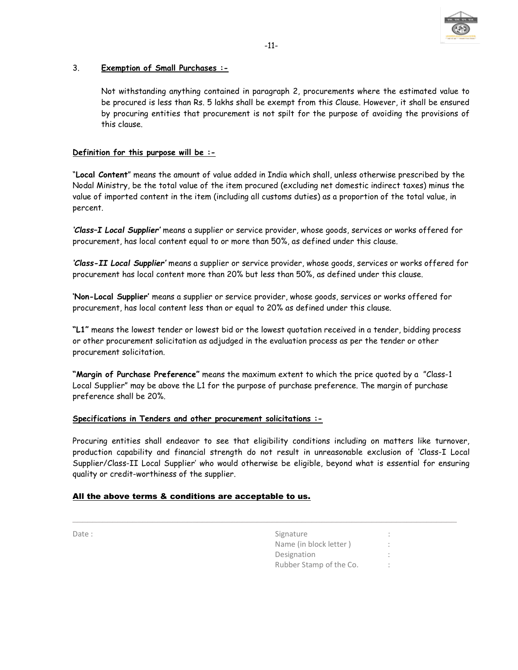

## 3. Exemption of Small Purchases :-

Not withstanding anything contained in paragraph 2, procurements where the estimated value to be procured is less than Rs. 5 lakhs shall be exempt from this Clause. However, it shall be ensured by procuring entities that procurement is not spilt for the purpose of avoiding the provisions of this clause.

## Definition for this purpose will be :-

"Local Content" means the amount of value added in India which shall, unless otherwise prescribed by the Nodal Ministry, be the total value of the item procured (excluding net domestic indirect taxes) minus the value of imported content in the item (including all customs duties) as a proportion of the total value, in percent.

'Class–I Local Supplier' means a supplier or service provider, whose goods, services or works offered for procurement, has local content equal to or more than 50%, as defined under this clause.

'Class-II Local Supplier' means a supplier or service provider, whose goods, services or works offered for procurement has local content more than 20% but less than 50%, as defined under this clause.

'Non-Local Supplier' means a supplier or service provider, whose goods, services or works offered for procurement, has local content less than or equal to 20% as defined under this clause.

"L1" means the lowest tender or lowest bid or the lowest quotation received in a tender, bidding process or other procurement solicitation as adjudged in the evaluation process as per the tender or other procurement solicitation.

"Margin of Purchase Preference" means the maximum extent to which the price quoted by a "Class-1 Local Supplier" may be above the L1 for the purpose of purchase preference. The margin of purchase preference shall be 20%.

### Specifications in Tenders and other procurement solicitations :-

Procuring entities shall endeavor to see that eligibility conditions including on matters like turnover, production capability and financial strength do not result in unreasonable exclusion of 'Class-I Local Supplier/Class-II Local Supplier' who would otherwise be eligible, beyond what is essential for ensuring quality or credit-worthiness of the supplier.

\_\_\_\_\_\_\_\_\_\_\_\_\_\_\_\_\_\_\_\_\_\_\_\_\_\_\_\_\_\_\_\_\_\_\_\_\_\_\_\_\_\_\_\_\_\_\_\_\_\_\_\_\_\_\_\_\_\_\_\_\_\_\_\_\_\_\_\_\_\_\_\_\_\_\_\_\_

### All the above terms & conditions are acceptable to us.

| Date: | Signature               | ٠<br>$\sim$                          |  |
|-------|-------------------------|--------------------------------------|--|
|       | Name (in block letter)  | $\ddot{\phantom{1}}$<br>$\mathbf{r}$ |  |
|       | Designation             | ٠<br>$\sim$                          |  |
|       | Rubber Stamp of the Co. | $\bullet$                            |  |
|       |                         |                                      |  |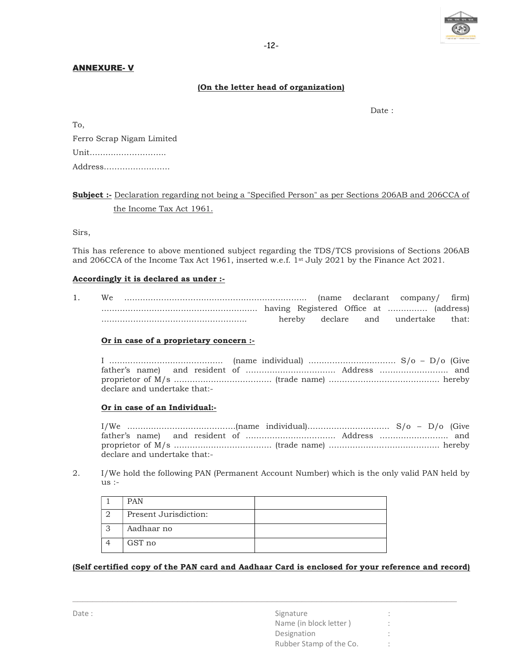

### ANNEXURE- V

## (On the letter head of organization)

To,

definition of the contract of the contract of the contract of the contract of the contract of the contract of the contract of the contract of the contract of the contract of the contract of the contract of the contract of

| Ferro Scrap Nigam Limited |
|---------------------------|
| Unit                      |
| Address                   |

# Subject :- Declaration regarding not being a "Specified Person" as per Sections 206AB and 206CCA of the Income Tax Act 1961.

Sirs,

This has reference to above mentioned subject regarding the TDS/TCS provisions of Sections 206AB and 206CCA of the Income Tax Act 1961, inserted w.e.f. 1st July 2021 by the Finance Act 2021.

#### Accordingly it is declared as under :-

1. We …………………………………………………………... (name declarant company/ firm) ………………………………………………….. having Registered Office at …………… (address) ………………………………………………. hereby declare and undertake that:

#### Or in case of a proprietary concern :-

I ……………………………………. (name individual) …………………………… S/o – D/o (Give father's name) and resident of ……………………………. Address …………………….. and proprietor of M/s ………………………………. (trade name) …………………………………... hereby declare and undertake that:-

#### Or in case of an Individual:-

I/We ………….……………………….(name individual)…………………………. S/o – D/o (Give father's name) and resident of ……………………………. Address …………………….. and proprietor of M/s ………………………………. (trade name) …………………………………... hereby declare and undertake that:-

2. I/We hold the following PAN (Permanent Account Number) which is the only valid PAN held by us :-

| <b>PAN</b>            |  |
|-----------------------|--|
| Present Jurisdiction: |  |
| Aadhaar no            |  |
| GST no                |  |

#### (Self certified copy of the PAN card and Aadhaar Card is enclosed for your reference and record)

| Date: | Signature               |  |
|-------|-------------------------|--|
|       | Name (in block letter)  |  |
|       | Designation             |  |
|       | Rubber Stamp of the Co. |  |